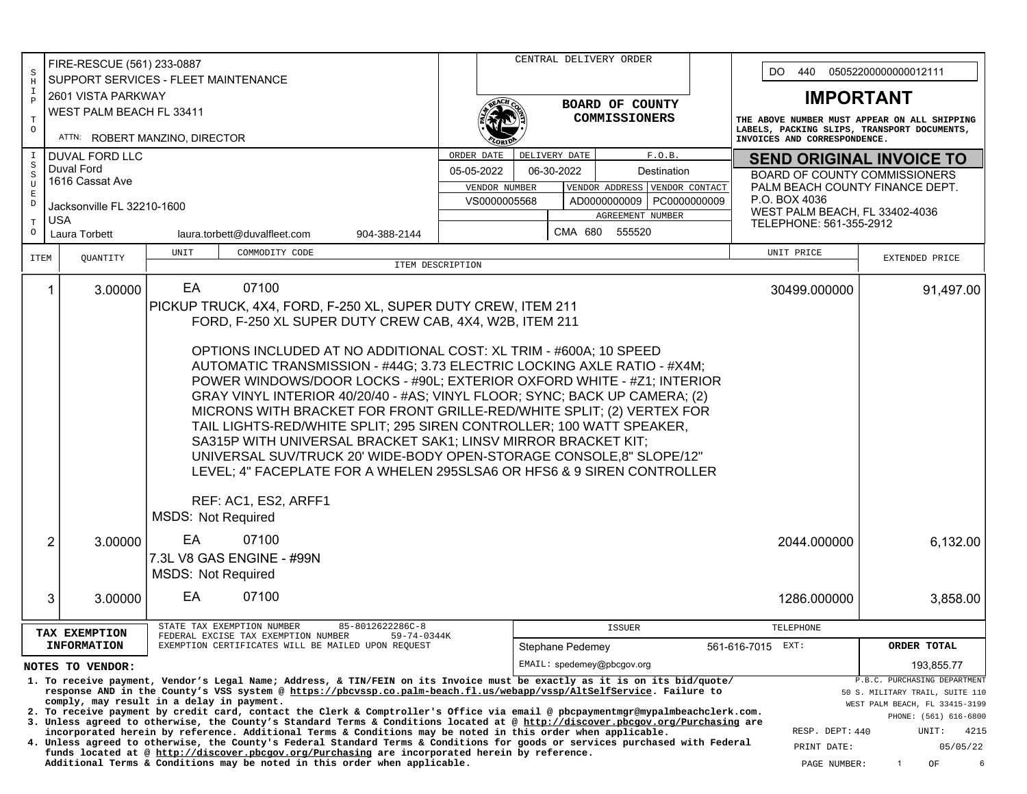|                                                                                                                                                           | FIRE-RESCUE (561) 233-0887                                              |                                                                                                                                                                                                                                               |                  |               | CENTRAL DELIVERY ORDER     |                                    |                                                                                                                             |                                                                            |              |                                      |  |  |
|-----------------------------------------------------------------------------------------------------------------------------------------------------------|-------------------------------------------------------------------------|-----------------------------------------------------------------------------------------------------------------------------------------------------------------------------------------------------------------------------------------------|------------------|---------------|----------------------------|------------------------------------|-----------------------------------------------------------------------------------------------------------------------------|----------------------------------------------------------------------------|--------------|--------------------------------------|--|--|
| S<br>$\rm H$                                                                                                                                              | SUPPORT SERVICES - FLEET MAINTENANCE                                    |                                                                                                                                                                                                                                               |                  |               |                            | DO.<br>440<br>05052200000000012111 |                                                                                                                             |                                                                            |              |                                      |  |  |
| Ι.                                                                                                                                                        | 2601 VISTA PARKWAY                                                      |                                                                                                                                                                                                                                               |                  |               |                            |                                    | <b>IMPORTANT</b>                                                                                                            |                                                                            |              |                                      |  |  |
| $\mathbf{P}$                                                                                                                                              | WEST PALM BEACH FL 33411                                                |                                                                                                                                                                                                                                               |                  |               |                            | BOARD OF COUNTY                    |                                                                                                                             |                                                                            |              |                                      |  |  |
| $\mathbf T$<br>$\circ$                                                                                                                                    |                                                                         |                                                                                                                                                                                                                                               |                  |               |                            | <b>COMMISSIONERS</b>               | THE ABOVE NUMBER MUST APPEAR ON ALL SHIPPING<br>LABELS, PACKING SLIPS, TRANSPORT DOCUMENTS,<br>INVOICES AND CORRESPONDENCE. |                                                                            |              |                                      |  |  |
|                                                                                                                                                           |                                                                         | ATTN: ROBERT MANZINO, DIRECTOR                                                                                                                                                                                                                |                  |               |                            |                                    |                                                                                                                             |                                                                            |              |                                      |  |  |
|                                                                                                                                                           | <b>DUVAL FORD LLC</b>                                                   |                                                                                                                                                                                                                                               | ORDER DATE       |               | DELIVERY DATE              |                                    | F.O.B.                                                                                                                      | <b>SEND ORIGINAL INVOICE TO</b>                                            |              |                                      |  |  |
| S<br>S                                                                                                                                                    | Duval Ford                                                              |                                                                                                                                                                                                                                               | 05-05-2022       |               | 06-30-2022                 |                                    | Destination                                                                                                                 |                                                                            |              | <b>BOARD OF COUNTY COMMISSIONERS</b> |  |  |
| $\mathbf{U}$<br>E                                                                                                                                         | 1616 Cassat Ave                                                         |                                                                                                                                                                                                                                               |                  | VENDOR NUMBER |                            | VENDOR ADDRESS VENDOR CONTACT      | PALM BEACH COUNTY FINANCE DEPT.                                                                                             |                                                                            |              |                                      |  |  |
| D                                                                                                                                                         | Jacksonville FL 32210-1600                                              |                                                                                                                                                                                                                                               |                  | VS0000005568  |                            |                                    | AD0000000009   PC0000000009                                                                                                 | P.O. BOX 4036<br>WEST PALM BEACH, FL 33402-4036<br>TELEPHONE: 561-355-2912 |              |                                      |  |  |
| Т                                                                                                                                                         | <b>USA</b>                                                              |                                                                                                                                                                                                                                               |                  |               |                            | AGREEMENT NUMBER                   |                                                                                                                             |                                                                            |              |                                      |  |  |
| $\circ$                                                                                                                                                   | Laura Torbett                                                           | laura.torbett@duvalfleet.com<br>904-388-2144                                                                                                                                                                                                  |                  |               |                            | CMA 680 555520                     |                                                                                                                             |                                                                            |              |                                      |  |  |
| ITEM                                                                                                                                                      | QUANTITY                                                                | UNIT<br>COMMODITY CODE                                                                                                                                                                                                                        |                  |               |                            |                                    |                                                                                                                             |                                                                            | UNIT PRICE   | EXTENDED PRICE                       |  |  |
|                                                                                                                                                           |                                                                         |                                                                                                                                                                                                                                               | ITEM DESCRIPTION |               |                            |                                    |                                                                                                                             |                                                                            |              |                                      |  |  |
|                                                                                                                                                           | 1<br>3.00000                                                            | 07100<br>EA                                                                                                                                                                                                                                   |                  |               |                            |                                    |                                                                                                                             |                                                                            | 30499.000000 | 91,497.00                            |  |  |
|                                                                                                                                                           |                                                                         | PICKUP TRUCK, 4X4, FORD, F-250 XL, SUPER DUTY CREW, ITEM 211                                                                                                                                                                                  |                  |               |                            |                                    |                                                                                                                             |                                                                            |              |                                      |  |  |
|                                                                                                                                                           |                                                                         | FORD, F-250 XL SUPER DUTY CREW CAB, 4X4, W2B, ITEM 211                                                                                                                                                                                        |                  |               |                            |                                    |                                                                                                                             |                                                                            |              |                                      |  |  |
|                                                                                                                                                           |                                                                         |                                                                                                                                                                                                                                               |                  |               |                            |                                    |                                                                                                                             |                                                                            |              |                                      |  |  |
|                                                                                                                                                           | OPTIONS INCLUDED AT NO ADDITIONAL COST: XL TRIM - #600A; 10 SPEED       |                                                                                                                                                                                                                                               |                  |               |                            |                                    |                                                                                                                             |                                                                            |              |                                      |  |  |
|                                                                                                                                                           | AUTOMATIC TRANSMISSION - #44G; 3.73 ELECTRIC LOCKING AXLE RATIO - #X4M; |                                                                                                                                                                                                                                               |                  |               |                            |                                    |                                                                                                                             |                                                                            |              |                                      |  |  |
|                                                                                                                                                           |                                                                         | POWER WINDOWS/DOOR LOCKS - #90L; EXTERIOR OXFORD WHITE - #Z1; INTERIOR                                                                                                                                                                        |                  |               |                            |                                    |                                                                                                                             |                                                                            |              |                                      |  |  |
|                                                                                                                                                           |                                                                         | GRAY VINYL INTERIOR 40/20/40 - #AS; VINYL FLOOR; SYNC; BACK UP CAMERA; (2)                                                                                                                                                                    |                  |               |                            |                                    |                                                                                                                             |                                                                            |              |                                      |  |  |
|                                                                                                                                                           |                                                                         | MICRONS WITH BRACKET FOR FRONT GRILLE-RED/WHITE SPLIT; (2) VERTEX FOR                                                                                                                                                                         |                  |               |                            |                                    |                                                                                                                             |                                                                            |              |                                      |  |  |
|                                                                                                                                                           |                                                                         | TAIL LIGHTS-RED/WHITE SPLIT; 295 SIREN CONTROLLER; 100 WATT SPEAKER,                                                                                                                                                                          |                  |               |                            |                                    |                                                                                                                             |                                                                            |              |                                      |  |  |
|                                                                                                                                                           |                                                                         | SA315P WITH UNIVERSAL BRACKET SAK1; LINSV MIRROR BRACKET KIT;                                                                                                                                                                                 |                  |               |                            |                                    |                                                                                                                             |                                                                            |              |                                      |  |  |
|                                                                                                                                                           |                                                                         | UNIVERSAL SUV/TRUCK 20' WIDE-BODY OPEN-STORAGE CONSOLE,8" SLOPE/12"                                                                                                                                                                           |                  |               |                            |                                    |                                                                                                                             |                                                                            |              |                                      |  |  |
|                                                                                                                                                           |                                                                         | LEVEL; 4" FACEPLATE FOR A WHELEN 295SLSA6 OR HFS6 & 9 SIREN CONTROLLER                                                                                                                                                                        |                  |               |                            |                                    |                                                                                                                             |                                                                            |              |                                      |  |  |
|                                                                                                                                                           |                                                                         |                                                                                                                                                                                                                                               |                  |               |                            |                                    |                                                                                                                             |                                                                            |              |                                      |  |  |
|                                                                                                                                                           |                                                                         | REF: AC1, ES2, ARFF1                                                                                                                                                                                                                          |                  |               |                            |                                    |                                                                                                                             |                                                                            |              |                                      |  |  |
|                                                                                                                                                           |                                                                         | <b>MSDS: Not Required</b>                                                                                                                                                                                                                     |                  |               |                            |                                    |                                                                                                                             |                                                                            |              |                                      |  |  |
|                                                                                                                                                           | $\overline{2}$<br>3.00000                                               | EA.<br>07100                                                                                                                                                                                                                                  |                  |               |                            |                                    |                                                                                                                             |                                                                            | 2044.000000  | 6,132.00                             |  |  |
|                                                                                                                                                           |                                                                         | 7.3L V8 GAS ENGINE - #99N                                                                                                                                                                                                                     |                  |               |                            |                                    |                                                                                                                             |                                                                            |              |                                      |  |  |
|                                                                                                                                                           |                                                                         | <b>MSDS: Not Required</b>                                                                                                                                                                                                                     |                  |               |                            |                                    |                                                                                                                             |                                                                            |              |                                      |  |  |
|                                                                                                                                                           |                                                                         |                                                                                                                                                                                                                                               |                  |               |                            |                                    |                                                                                                                             |                                                                            |              |                                      |  |  |
|                                                                                                                                                           | 3<br>3.00000                                                            | EA<br>07100                                                                                                                                                                                                                                   |                  |               |                            |                                    |                                                                                                                             |                                                                            | 1286.000000  | 3,858.00                             |  |  |
|                                                                                                                                                           |                                                                         | 85-8012622286C-8<br>STATE TAX EXEMPTION NUMBER                                                                                                                                                                                                |                  |               |                            |                                    |                                                                                                                             |                                                                            |              |                                      |  |  |
|                                                                                                                                                           | TAX EXEMPTION                                                           | FEDERAL EXCISE TAX EXEMPTION NUMBER<br>59-74-0344K                                                                                                                                                                                            |                  |               |                            | <b>ISSUER</b>                      |                                                                                                                             |                                                                            | TELEPHONE    |                                      |  |  |
|                                                                                                                                                           | <b>INFORMATION</b>                                                      | EXEMPTION CERTIFICATES WILL BE MAILED UPON REQUEST                                                                                                                                                                                            |                  |               | Stephane Pedemey           |                                    |                                                                                                                             | 561-616-7015 EXT:                                                          |              | ORDER TOTAL                          |  |  |
|                                                                                                                                                           | NOTES TO VENDOR:                                                        |                                                                                                                                                                                                                                               |                  |               | EMAIL: spedemey@pbcqov.org |                                    |                                                                                                                             |                                                                            |              | 193,855.77                           |  |  |
| P.B.C. PURCHASING DEPARTMENT<br>1. To receive payment, Vendor's Legal Name; Address, & TIN/FEIN on its Invoice must be exactly as it is on its bid/quote/ |                                                                         |                                                                                                                                                                                                                                               |                  |               |                            |                                    |                                                                                                                             |                                                                            |              |                                      |  |  |
|                                                                                                                                                           |                                                                         | response AND in the County's VSS system @ https://pbcvssp.co.palm-beach.fl.us/webapp/vssp/AltSelfService. Failure to<br>comply, may result in a delay in payment.                                                                             |                  |               |                            |                                    |                                                                                                                             | 50 S. MILITARY TRAIL, SUITE 110<br>WEST PALM BEACH, FL 33415-3199          |              |                                      |  |  |
|                                                                                                                                                           |                                                                         | 2. To receive payment by credit card, contact the Clerk & Comptroller's Office via email @ pbcpaymentmgr@mypalmbeachclerk.com.                                                                                                                |                  |               |                            |                                    |                                                                                                                             | PHONE: (561) 616-6800                                                      |              |                                      |  |  |
|                                                                                                                                                           |                                                                         | 3. Unless agreed to otherwise, the County's Standard Terms & Conditions located at @ http://discover.pbcgov.org/Purchasing are<br>incorporated herein by reference. Additional Terms & Conditions may be noted in this order when applicable. |                  |               |                            |                                    |                                                                                                                             | RESP. DEPT: 440<br>UNIT:                                                   |              |                                      |  |  |
|                                                                                                                                                           |                                                                         | 4. Unless agreed to otherwise, the County's Federal Standard Terms & Conditions for goods or services purchased with Federal<br>funds located at @ http://discover.pbcgov.org/Purchasing are incorporated herein by reference.                |                  |               |                            |                                    |                                                                                                                             | 4215<br>05/05/22<br>PRINT DATE:                                            |              |                                      |  |  |
|                                                                                                                                                           |                                                                         | Additional Terms & Conditions may be noted in this order when applicable.                                                                                                                                                                     |                  |               |                            |                                    |                                                                                                                             | $\mathbf{1}$<br>OF<br>PAGE NUMBER:                                         |              |                                      |  |  |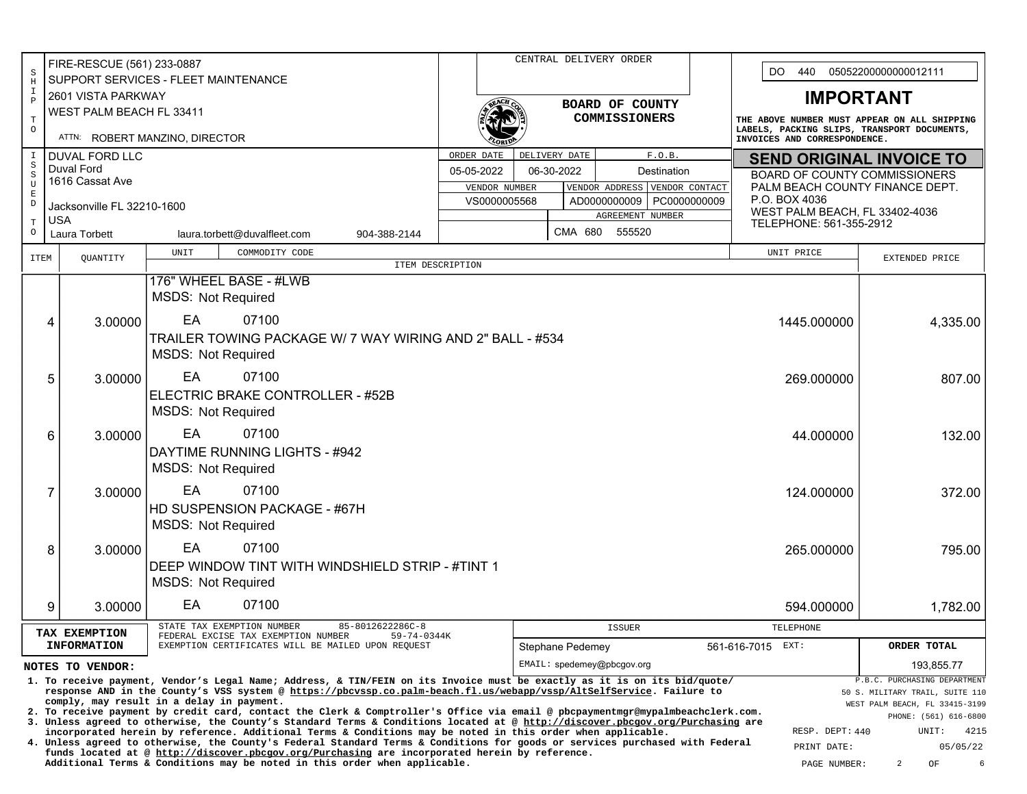| FIRE-RESCUE (561) 233-0887                                                                                                                                                                                                                  |                                                                                                                                                                                                                                                                                                                      |                            |                                                           |                                                                                                                                                                                                                                                                  |                                         |                                                | CENTRAL DELIVERY ORDER |                                                                        |         |               |  |                                                                             |                                              | DO.<br>440<br>05052200000000012111                                                                                          |                                |  |  |
|---------------------------------------------------------------------------------------------------------------------------------------------------------------------------------------------------------------------------------------------|----------------------------------------------------------------------------------------------------------------------------------------------------------------------------------------------------------------------------------------------------------------------------------------------------------------------|----------------------------|-----------------------------------------------------------|------------------------------------------------------------------------------------------------------------------------------------------------------------------------------------------------------------------------------------------------------------------|-----------------------------------------|------------------------------------------------|------------------------|------------------------------------------------------------------------|---------|---------------|--|-----------------------------------------------------------------------------|----------------------------------------------|-----------------------------------------------------------------------------------------------------------------------------|--------------------------------|--|--|
| S<br>$\, {\rm H}$                                                                                                                                                                                                                           |                                                                                                                                                                                                                                                                                                                      |                            | SUPPORT SERVICES - FLEET MAINTENANCE                      |                                                                                                                                                                                                                                                                  |                                         |                                                |                        |                                                                        |         |               |  |                                                                             |                                              |                                                                                                                             |                                |  |  |
| I<br>$\, {\bf P}$                                                                                                                                                                                                                           |                                                                                                                                                                                                                                                                                                                      | 2601 VISTA PARKWAY         | BOARD OF COUNTY                                           |                                                                                                                                                                                                                                                                  |                                         |                                                |                        |                                                                        |         |               |  | <b>IMPORTANT</b>                                                            |                                              |                                                                                                                             |                                |  |  |
| $\mathbf T$                                                                                                                                                                                                                                 |                                                                                                                                                                                                                                                                                                                      | WEST PALM BEACH FL 33411   |                                                           |                                                                                                                                                                                                                                                                  |                                         |                                                |                        |                                                                        |         | COMMISSIONERS |  |                                                                             | THE ABOVE NUMBER MUST APPEAR ON ALL SHIPPING |                                                                                                                             |                                |  |  |
| $\circ$                                                                                                                                                                                                                                     |                                                                                                                                                                                                                                                                                                                      |                            | ATTN: ROBERT MANZINO, DIRECTOR                            |                                                                                                                                                                                                                                                                  |                                         |                                                |                        |                                                                        |         |               |  | LABELS, PACKING SLIPS, TRANSPORT DOCUMENTS,<br>INVOICES AND CORRESPONDENCE. |                                              |                                                                                                                             |                                |  |  |
| $\mathbbm{I}$                                                                                                                                                                                                                               |                                                                                                                                                                                                                                                                                                                      | <b>DUVAL FORD LLC</b>      |                                                           |                                                                                                                                                                                                                                                                  |                                         | DELIVERY DATE<br>F.O.B.<br>ORDER DATE          |                        |                                                                        |         |               |  |                                                                             |                                              | <b>SEND ORIGINAL INVOICE TO</b><br><b>BOARD OF COUNTY COMMISSIONERS</b><br>PALM BEACH COUNTY FINANCE DEPT.<br>P.O. BOX 4036 |                                |  |  |
| $\, \mathbb{S}$<br>$\,$ S                                                                                                                                                                                                                   | Duval Ford                                                                                                                                                                                                                                                                                                           | 1616 Cassat Ave            |                                                           |                                                                                                                                                                                                                                                                  | 06-30-2022<br>05-05-2022<br>Destination |                                                |                        |                                                                        |         |               |  |                                                                             |                                              |                                                                                                                             |                                |  |  |
| U<br>$\mathbf E$                                                                                                                                                                                                                            |                                                                                                                                                                                                                                                                                                                      |                            |                                                           |                                                                                                                                                                                                                                                                  |                                         | VENDOR ADDRESS VENDOR CONTACT<br>VENDOR NUMBER |                        |                                                                        |         |               |  |                                                                             |                                              |                                                                                                                             |                                |  |  |
| $\mathbb D$                                                                                                                                                                                                                                 |                                                                                                                                                                                                                                                                                                                      | Jacksonville FL 32210-1600 |                                                           |                                                                                                                                                                                                                                                                  |                                         |                                                |                        | VS0000005568<br>AD0000000009   PC0000000009<br><b>AGREEMENT NUMBER</b> |         |               |  |                                                                             |                                              | WEST PALM BEACH, FL 33402-4036                                                                                              |                                |  |  |
| $\mathbf T$<br>$\circ$                                                                                                                                                                                                                      | <b>USA</b>                                                                                                                                                                                                                                                                                                           | Laura Torbett              |                                                           | laura.torbett@duvalfleet.com                                                                                                                                                                                                                                     | 904-388-2144                            |                                                |                        |                                                                        | CMA 680 | 555520        |  |                                                                             | TELEPHONE: 561-355-2912                      |                                                                                                                             |                                |  |  |
| <b>ITEM</b>                                                                                                                                                                                                                                 |                                                                                                                                                                                                                                                                                                                      |                            | UNIT                                                      | COMMODITY CODE                                                                                                                                                                                                                                                   |                                         |                                                |                        |                                                                        |         |               |  |                                                                             |                                              | UNIT PRICE<br>EXTENDED PRICE                                                                                                |                                |  |  |
|                                                                                                                                                                                                                                             |                                                                                                                                                                                                                                                                                                                      | QUANTITY                   |                                                           |                                                                                                                                                                                                                                                                  | ITEM DESCRIPTION                        |                                                |                        |                                                                        |         |               |  |                                                                             |                                              |                                                                                                                             |                                |  |  |
| 176" WHEEL BASE - #LWB<br><b>MSDS: Not Required</b>                                                                                                                                                                                         |                                                                                                                                                                                                                                                                                                                      |                            |                                                           |                                                                                                                                                                                                                                                                  |                                         |                                                |                        |                                                                        |         |               |  |                                                                             |                                              |                                                                                                                             |                                |  |  |
|                                                                                                                                                                                                                                             |                                                                                                                                                                                                                                                                                                                      |                            |                                                           |                                                                                                                                                                                                                                                                  |                                         |                                                |                        |                                                                        |         |               |  |                                                                             |                                              |                                                                                                                             |                                |  |  |
|                                                                                                                                                                                                                                             | 4                                                                                                                                                                                                                                                                                                                    | 3.00000                    | EA                                                        | 07100                                                                                                                                                                                                                                                            |                                         |                                                |                        |                                                                        |         |               |  |                                                                             |                                              | 1445.000000                                                                                                                 | 4,335.00                       |  |  |
|                                                                                                                                                                                                                                             |                                                                                                                                                                                                                                                                                                                      |                            | TRAILER TOWING PACKAGE W/ 7 WAY WIRING AND 2" BALL - #534 |                                                                                                                                                                                                                                                                  |                                         |                                                |                        |                                                                        |         |               |  |                                                                             |                                              |                                                                                                                             |                                |  |  |
|                                                                                                                                                                                                                                             | <b>MSDS: Not Required</b>                                                                                                                                                                                                                                                                                            |                            |                                                           |                                                                                                                                                                                                                                                                  |                                         |                                                |                        |                                                                        |         |               |  |                                                                             |                                              |                                                                                                                             |                                |  |  |
|                                                                                                                                                                                                                                             | EA<br>07100<br>5<br>3.00000<br>269.000000                                                                                                                                                                                                                                                                            |                            |                                                           |                                                                                                                                                                                                                                                                  |                                         |                                                |                        |                                                                        |         |               |  | 807.00                                                                      |                                              |                                                                                                                             |                                |  |  |
|                                                                                                                                                                                                                                             |                                                                                                                                                                                                                                                                                                                      |                            |                                                           | ELECTRIC BRAKE CONTROLLER - #52B                                                                                                                                                                                                                                 |                                         |                                                |                        |                                                                        |         |               |  |                                                                             |                                              |                                                                                                                             |                                |  |  |
|                                                                                                                                                                                                                                             |                                                                                                                                                                                                                                                                                                                      |                            | <b>MSDS: Not Required</b>                                 |                                                                                                                                                                                                                                                                  |                                         |                                                |                        |                                                                        |         |               |  |                                                                             |                                              |                                                                                                                             |                                |  |  |
|                                                                                                                                                                                                                                             | 6                                                                                                                                                                                                                                                                                                                    | 3.00000                    | EA                                                        | 07100                                                                                                                                                                                                                                                            |                                         |                                                |                        |                                                                        |         |               |  |                                                                             |                                              | 44.000000                                                                                                                   | 132.00                         |  |  |
|                                                                                                                                                                                                                                             |                                                                                                                                                                                                                                                                                                                      |                            |                                                           | DAYTIME RUNNING LIGHTS - #942                                                                                                                                                                                                                                    |                                         |                                                |                        |                                                                        |         |               |  |                                                                             |                                              |                                                                                                                             |                                |  |  |
|                                                                                                                                                                                                                                             |                                                                                                                                                                                                                                                                                                                      |                            | <b>MSDS: Not Required</b>                                 |                                                                                                                                                                                                                                                                  |                                         |                                                |                        |                                                                        |         |               |  |                                                                             |                                              |                                                                                                                             |                                |  |  |
|                                                                                                                                                                                                                                             | 7                                                                                                                                                                                                                                                                                                                    | 3.00000                    | EA                                                        | 07100                                                                                                                                                                                                                                                            |                                         |                                                |                        |                                                                        |         |               |  |                                                                             |                                              | 124.000000                                                                                                                  | 372.00                         |  |  |
|                                                                                                                                                                                                                                             |                                                                                                                                                                                                                                                                                                                      |                            |                                                           | HD SUSPENSION PACKAGE - #67H                                                                                                                                                                                                                                     |                                         |                                                |                        |                                                                        |         |               |  |                                                                             |                                              |                                                                                                                             |                                |  |  |
|                                                                                                                                                                                                                                             |                                                                                                                                                                                                                                                                                                                      |                            | <b>MSDS: Not Required</b>                                 |                                                                                                                                                                                                                                                                  |                                         |                                                |                        |                                                                        |         |               |  |                                                                             |                                              |                                                                                                                             |                                |  |  |
|                                                                                                                                                                                                                                             | 8                                                                                                                                                                                                                                                                                                                    | 3.00000                    | EA                                                        | 07100                                                                                                                                                                                                                                                            |                                         |                                                |                        |                                                                        |         |               |  |                                                                             |                                              | 265.000000                                                                                                                  | 795.00                         |  |  |
|                                                                                                                                                                                                                                             |                                                                                                                                                                                                                                                                                                                      |                            |                                                           | DEEP WINDOW TINT WITH WINDSHIELD STRIP - #TINT 1                                                                                                                                                                                                                 |                                         |                                                |                        |                                                                        |         |               |  |                                                                             |                                              |                                                                                                                             |                                |  |  |
|                                                                                                                                                                                                                                             |                                                                                                                                                                                                                                                                                                                      |                            | <b>MSDS: Not Required</b>                                 |                                                                                                                                                                                                                                                                  |                                         |                                                |                        |                                                                        |         |               |  |                                                                             |                                              |                                                                                                                             |                                |  |  |
|                                                                                                                                                                                                                                             | 9                                                                                                                                                                                                                                                                                                                    | 3.00000                    | EA                                                        | 07100                                                                                                                                                                                                                                                            |                                         |                                                |                        |                                                                        |         |               |  |                                                                             |                                              | 594.000000                                                                                                                  | 1,782.00                       |  |  |
|                                                                                                                                                                                                                                             |                                                                                                                                                                                                                                                                                                                      | TAX EXEMPTION              |                                                           | STATE TAX EXEMPTION NUMBER                                                                                                                                                                                                                                       | 85-8012622286C-8                        |                                                |                        |                                                                        |         | <b>ISSUER</b> |  |                                                                             |                                              | TELEPHONE                                                                                                                   |                                |  |  |
|                                                                                                                                                                                                                                             |                                                                                                                                                                                                                                                                                                                      | <b>INFORMATION</b>         |                                                           | FEDERAL EXCISE TAX EXEMPTION NUMBER<br>EXEMPTION CERTIFICATES WILL BE MAILED UPON REQUEST                                                                                                                                                                        | 59-74-0344K                             |                                                |                        | Stephane Pedemey                                                       |         |               |  |                                                                             | 561-616-7015 EXT:                            |                                                                                                                             | ORDER TOTAL                    |  |  |
|                                                                                                                                                                                                                                             |                                                                                                                                                                                                                                                                                                                      | NOTES TO VENDOR:           |                                                           |                                                                                                                                                                                                                                                                  |                                         |                                                |                        | EMAIL: spedemey@pbcgov.org                                             |         |               |  |                                                                             |                                              |                                                                                                                             | 193,855.77                     |  |  |
|                                                                                                                                                                                                                                             | P.B.C. PURCHASING DEPARTMENT<br>1. To receive payment, Vendor's Legal Name; Address, & TIN/FEIN on its Invoice must be exactly as it is on its bid/quote/<br>response AND in the County's VSS system @ https://pbcvssp.co.palm-beach.fl.us/webapp/vssp/AltSelfService. Failure to<br>50 S. MILITARY TRAIL, SUITE 110 |                            |                                                           |                                                                                                                                                                                                                                                                  |                                         |                                                |                        |                                                                        |         |               |  |                                                                             |                                              |                                                                                                                             |                                |  |  |
|                                                                                                                                                                                                                                             |                                                                                                                                                                                                                                                                                                                      |                            | comply, may result in a delay in payment.                 |                                                                                                                                                                                                                                                                  |                                         |                                                |                        |                                                                        |         |               |  |                                                                             |                                              |                                                                                                                             | WEST PALM BEACH, FL 33415-3199 |  |  |
|                                                                                                                                                                                                                                             |                                                                                                                                                                                                                                                                                                                      |                            |                                                           | 2. To receive payment by credit card, contact the Clerk & Comptroller's Office via email @ pbcpaymentmgr@mypalmbeachclerk.com.<br>3. Unless agreed to otherwise, the County's Standard Terms & Conditions located at @ http://discover.pbcgov.org/Purchasing are |                                         |                                                |                        |                                                                        |         |               |  |                                                                             |                                              |                                                                                                                             | PHONE: (561) 616-6800          |  |  |
| incorporated herein by reference. Additional Terms & Conditions may be noted in this order when applicable.<br>4. Unless agreed to otherwise, the County's Federal Standard Terms & Conditions for goods or services purchased with Federal |                                                                                                                                                                                                                                                                                                                      |                            |                                                           |                                                                                                                                                                                                                                                                  |                                         |                                                |                        |                                                                        |         |               |  |                                                                             |                                              | RESP. DEPT: 440<br>PRINT DATE:                                                                                              | 4215<br>UNIT:<br>05/05/22      |  |  |
|                                                                                                                                                                                                                                             | funds located at @ http://discover.pbcgov.org/Purchasing are incorporated herein by reference.<br>Additional Terms & Conditions may be noted in this order when applicable.<br>PAGE NUMBER:                                                                                                                          |                            |                                                           |                                                                                                                                                                                                                                                                  |                                         |                                                |                        |                                                                        |         |               |  | $\overline{2}$<br>OF<br>6                                                   |                                              |                                                                                                                             |                                |  |  |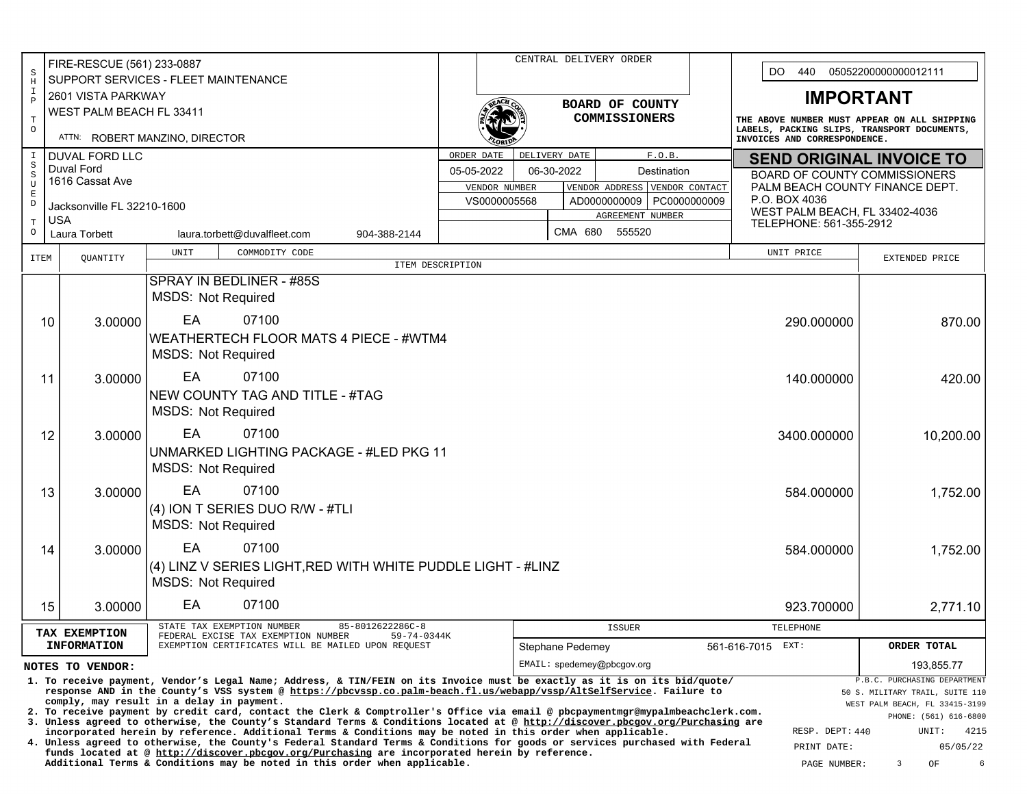|                            | FIRE-RESCUE (561) 233-0887<br>$\rm S$<br>SUPPORT SERVICES - FLEET MAINTENANCE<br>$\, {\rm H}$<br>$\mathbbm{1}$<br>2601 VISTA PARKWAY                                                                                                        |         |                                           |                                                                                                                                                                                                                                                   |                                         |                      | CENTRAL DELIVERY ORDER |                                                                                                  |         |                  |                                      |                                                                                                                             | DO.<br>440<br>05052200000000012111               |                                |                                                                   |  |
|----------------------------|---------------------------------------------------------------------------------------------------------------------------------------------------------------------------------------------------------------------------------------------|---------|-------------------------------------------|---------------------------------------------------------------------------------------------------------------------------------------------------------------------------------------------------------------------------------------------------|-----------------------------------------|----------------------|------------------------|--------------------------------------------------------------------------------------------------|---------|------------------|--------------------------------------|-----------------------------------------------------------------------------------------------------------------------------|--------------------------------------------------|--------------------------------|-------------------------------------------------------------------|--|
|                            |                                                                                                                                                                                                                                             |         |                                           |                                                                                                                                                                                                                                                   |                                         |                      |                        |                                                                                                  |         |                  |                                      |                                                                                                                             |                                                  |                                |                                                                   |  |
| $\, {\bf P}$               | WEST PALM BEACH FL 33411                                                                                                                                                                                                                    |         |                                           |                                                                                                                                                                                                                                                   |                                         |                      | BOARD OF COUNTY        |                                                                                                  |         |                  |                                      |                                                                                                                             | <b>IMPORTANT</b>                                 |                                |                                                                   |  |
| $\mathbb T$<br>$\circ$     |                                                                                                                                                                                                                                             |         | ATTN: ROBERT MANZINO, DIRECTOR            |                                                                                                                                                                                                                                                   |                                         | <b>COMMISSIONERS</b> |                        |                                                                                                  |         |                  |                                      | THE ABOVE NUMBER MUST APPEAR ON ALL SHIPPING<br>LABELS, PACKING SLIPS, TRANSPORT DOCUMENTS,<br>INVOICES AND CORRESPONDENCE. |                                                  |                                |                                                                   |  |
| $\mathbf I$<br>$\rm S$     | <b>DUVAL FORD LLC</b>                                                                                                                                                                                                                       |         |                                           |                                                                                                                                                                                                                                                   |                                         | ORDER DATE           |                        | DELIVERY DATE                                                                                    |         |                  | F.O.B.                               |                                                                                                                             | <b>SEND ORIGINAL INVOICE TO</b>                  |                                |                                                                   |  |
| $\,$ $\,$<br>$\mathbf U$   | Duval Ford<br>1616 Cassat Ave                                                                                                                                                                                                               |         |                                           |                                                                                                                                                                                                                                                   | 05-05-2022<br>06-30-2022<br>Destination |                      |                        |                                                                                                  |         |                  | <b>BOARD OF COUNTY COMMISSIONERS</b> |                                                                                                                             |                                                  |                                |                                                                   |  |
| $\mathbf E$<br>$\mathbb D$ |                                                                                                                                                                                                                                             |         |                                           |                                                                                                                                                                                                                                                   |                                         |                      |                        | VENDOR CONTACT<br>VENDOR NUMBER<br>VENDOR ADDRESS<br>VS0000005568<br>PC0000000009<br>AD000000009 |         |                  |                                      |                                                                                                                             | PALM BEACH COUNTY FINANCE DEPT.<br>P.O. BOX 4036 |                                |                                                                   |  |
| $\mathbf T$                | Jacksonville FL 32210-1600<br><b>USA</b>                                                                                                                                                                                                    |         |                                           |                                                                                                                                                                                                                                                   |                                         |                      |                        |                                                                                                  |         | AGREEMENT NUMBER |                                      |                                                                                                                             |                                                  |                                | WEST PALM BEACH, FL 33402-4036                                    |  |
| $\circ$                    | Laura Torbett                                                                                                                                                                                                                               |         |                                           | laura.torbett@duvalfleet.com                                                                                                                                                                                                                      | 904-388-2144                            |                      |                        |                                                                                                  | CMA 680 | 555520           |                                      |                                                                                                                             | TELEPHONE: 561-355-2912                          |                                |                                                                   |  |
| <b>ITEM</b>                | QUANTITY                                                                                                                                                                                                                                    |         | UNIT                                      | COMMODITY CODE                                                                                                                                                                                                                                    |                                         |                      |                        |                                                                                                  |         |                  |                                      |                                                                                                                             |                                                  | UNIT PRICE                     | EXTENDED PRICE                                                    |  |
|                            |                                                                                                                                                                                                                                             |         |                                           | SPRAY IN BEDLINER - #85S                                                                                                                                                                                                                          | ITEM DESCRIPTION                        |                      |                        |                                                                                                  |         |                  |                                      |                                                                                                                             |                                                  |                                |                                                                   |  |
|                            |                                                                                                                                                                                                                                             |         | <b>MSDS: Not Required</b>                 |                                                                                                                                                                                                                                                   |                                         |                      |                        |                                                                                                  |         |                  |                                      |                                                                                                                             |                                                  |                                |                                                                   |  |
|                            | 10                                                                                                                                                                                                                                          | 3.00000 | EA                                        | 07100                                                                                                                                                                                                                                             |                                         |                      |                        |                                                                                                  |         |                  |                                      |                                                                                                                             |                                                  | 290.000000                     | 870.00                                                            |  |
|                            |                                                                                                                                                                                                                                             |         |                                           | WEATHERTECH FLOOR MATS 4 PIECE - #WTM4                                                                                                                                                                                                            |                                         |                      |                        |                                                                                                  |         |                  |                                      |                                                                                                                             |                                                  |                                |                                                                   |  |
| <b>MSDS: Not Required</b>  |                                                                                                                                                                                                                                             |         |                                           |                                                                                                                                                                                                                                                   |                                         |                      |                        |                                                                                                  |         |                  |                                      |                                                                                                                             |                                                  |                                |                                                                   |  |
|                            | 11                                                                                                                                                                                                                                          | 3.00000 | EA<br>07100<br>140.000000                 |                                                                                                                                                                                                                                                   |                                         |                      |                        |                                                                                                  |         |                  |                                      |                                                                                                                             | 420.00                                           |                                |                                                                   |  |
|                            |                                                                                                                                                                                                                                             |         |                                           | NEW COUNTY TAG AND TITLE - #TAG                                                                                                                                                                                                                   |                                         |                      |                        |                                                                                                  |         |                  |                                      |                                                                                                                             |                                                  |                                |                                                                   |  |
|                            |                                                                                                                                                                                                                                             |         | <b>MSDS: Not Required</b>                 |                                                                                                                                                                                                                                                   |                                         |                      |                        |                                                                                                  |         |                  |                                      |                                                                                                                             |                                                  |                                |                                                                   |  |
|                            | 12                                                                                                                                                                                                                                          | 3.00000 | EA                                        | 07100                                                                                                                                                                                                                                             |                                         |                      |                        |                                                                                                  |         |                  |                                      |                                                                                                                             |                                                  | 3400.000000                    | 10,200.00                                                         |  |
|                            |                                                                                                                                                                                                                                             |         |                                           | <b>UNMARKED LIGHTING PACKAGE - #LED PKG 11</b>                                                                                                                                                                                                    |                                         |                      |                        |                                                                                                  |         |                  |                                      |                                                                                                                             |                                                  |                                |                                                                   |  |
|                            |                                                                                                                                                                                                                                             |         | <b>MSDS: Not Required</b>                 |                                                                                                                                                                                                                                                   |                                         |                      |                        |                                                                                                  |         |                  |                                      |                                                                                                                             |                                                  |                                |                                                                   |  |
|                            | 13                                                                                                                                                                                                                                          | 3.00000 | EA                                        | 07100                                                                                                                                                                                                                                             |                                         |                      |                        |                                                                                                  |         |                  |                                      |                                                                                                                             |                                                  | 584.000000                     | 1,752.00                                                          |  |
|                            |                                                                                                                                                                                                                                             |         |                                           | (4) ION T SERIES DUO R/W - #TLI                                                                                                                                                                                                                   |                                         |                      |                        |                                                                                                  |         |                  |                                      |                                                                                                                             |                                                  |                                |                                                                   |  |
|                            |                                                                                                                                                                                                                                             |         | <b>MSDS: Not Required</b>                 |                                                                                                                                                                                                                                                   |                                         |                      |                        |                                                                                                  |         |                  |                                      |                                                                                                                             |                                                  |                                |                                                                   |  |
|                            | 14                                                                                                                                                                                                                                          | 3.00000 | EA                                        | 07100                                                                                                                                                                                                                                             |                                         |                      |                        |                                                                                                  |         |                  |                                      |                                                                                                                             |                                                  | 584.000000                     | 1,752.00                                                          |  |
|                            |                                                                                                                                                                                                                                             |         | <b>MSDS: Not Required</b>                 | (4) LINZ V SERIES LIGHT, RED WITH WHITE PUDDLE LIGHT - #LINZ                                                                                                                                                                                      |                                         |                      |                        |                                                                                                  |         |                  |                                      |                                                                                                                             |                                                  |                                |                                                                   |  |
|                            | 15<br>3.00000                                                                                                                                                                                                                               |         | EA                                        | 07100                                                                                                                                                                                                                                             |                                         |                      |                        |                                                                                                  |         |                  |                                      |                                                                                                                             |                                                  | 923.700000                     | 2,771.10                                                          |  |
|                            |                                                                                                                                                                                                                                             |         |                                           | STATE TAX EXEMPTION NUMBER                                                                                                                                                                                                                        | 85-8012622286C-8                        |                      |                        |                                                                                                  |         | <b>ISSUER</b>    |                                      |                                                                                                                             |                                                  | TELEPHONE                      |                                                                   |  |
|                            | TAX EXEMPTION<br><b>INFORMATION</b>                                                                                                                                                                                                         |         |                                           | FEDERAL EXCISE TAX EXEMPTION NUMBER<br>EXEMPTION CERTIFICATES WILL BE MAILED UPON REQUEST                                                                                                                                                         | 59-74-0344K                             |                      |                        | Stephane Pedemey                                                                                 |         |                  |                                      |                                                                                                                             | 561-616-7015                                     | EXT:                           | ORDER TOTAL                                                       |  |
|                            | NOTES TO VENDOR:                                                                                                                                                                                                                            |         |                                           |                                                                                                                                                                                                                                                   |                                         |                      |                        | EMAIL: spedemey@pbcgov.org                                                                       |         |                  |                                      |                                                                                                                             |                                                  |                                | 193,855.77                                                        |  |
|                            |                                                                                                                                                                                                                                             |         |                                           | 1. To receive payment, Vendor's Legal Name; Address, & TIN/FEIN on its Invoice must be exactly as it is on its bid/quote/<br>response AND in the County's VSS system @ https://pbcvssp.co.palm-beach.fl.us/webapp/vssp/AltSelfService. Failure to |                                         |                      |                        |                                                                                                  |         |                  |                                      |                                                                                                                             |                                                  |                                | P.B.C. PURCHASING DEPARTMENT                                      |  |
|                            |                                                                                                                                                                                                                                             |         | comply, may result in a delay in payment. | 2. To receive payment by credit card, contact the Clerk & Comptroller's Office via email @ pbcpaymentmgr@mypalmbeachclerk.com.                                                                                                                    |                                         |                      |                        |                                                                                                  |         |                  |                                      |                                                                                                                             |                                                  |                                | 50 S. MILITARY TRAIL, SUITE 110<br>WEST PALM BEACH, FL 33415-3199 |  |
|                            |                                                                                                                                                                                                                                             |         |                                           | 3. Unless agreed to otherwise, the County's Standard Terms & Conditions located at @ http://discover.pbcgov.org/Purchasing are                                                                                                                    |                                         |                      |                        |                                                                                                  |         |                  |                                      |                                                                                                                             |                                                  |                                | PHONE: (561) 616-6800                                             |  |
|                            | incorporated herein by reference. Additional Terms & Conditions may be noted in this order when applicable.<br>4. Unless agreed to otherwise, the County's Federal Standard Terms & Conditions for goods or services purchased with Federal |         |                                           |                                                                                                                                                                                                                                                   |                                         |                      |                        |                                                                                                  |         |                  |                                      |                                                                                                                             |                                                  | RESP. DEPT: 440<br>PRINT DATE: | UNIT:<br>4215<br>05/05/22                                         |  |
|                            | funds located at @ http://discover.pbcgov.org/Purchasing are incorporated herein by reference.<br>Additional Terms & Conditions may be noted in this order when applicable.<br>3<br>OF<br>6<br>PAGE NUMBER:                                 |         |                                           |                                                                                                                                                                                                                                                   |                                         |                      |                        |                                                                                                  |         |                  |                                      |                                                                                                                             |                                                  |                                |                                                                   |  |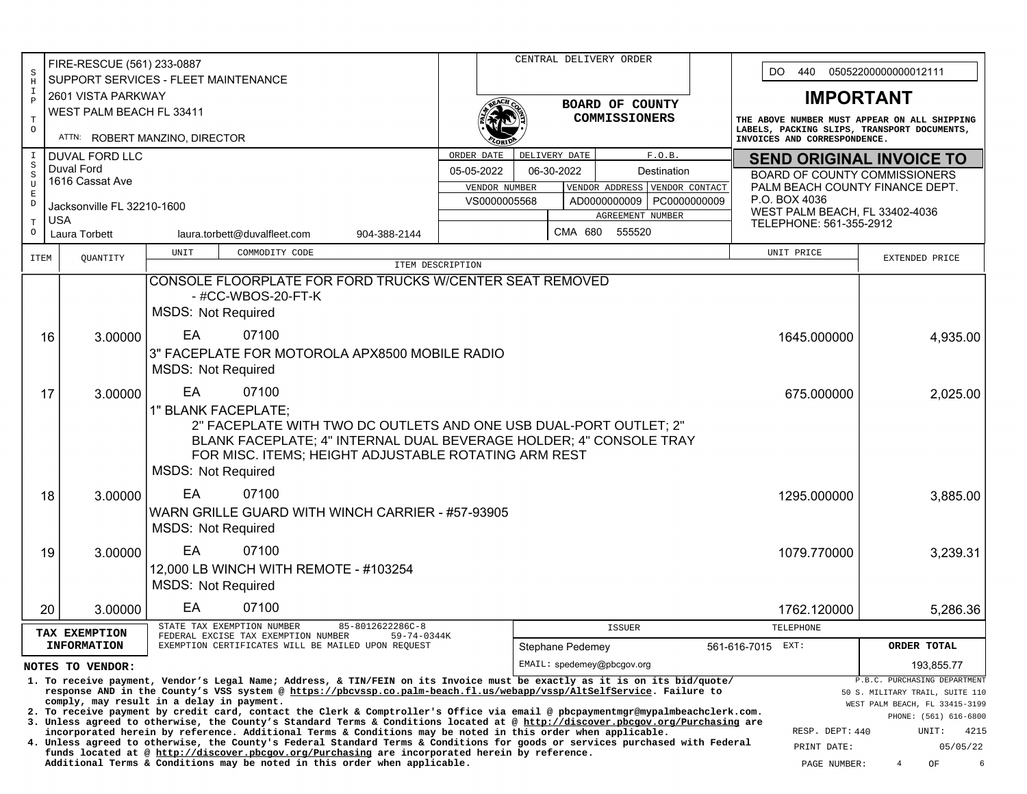| FIRE-RESCUE (561) 233-0887    |                                                                   |                                                |                                           |                                                                                                                                                                                                                                                   |                                              | CENTRAL DELIVERY ORDER                                                                                                                                                                                                                      |                                                                                                |                                                |                  |                            |  |                                                                                                                             |                                                           |                                                                 |  |
|-------------------------------|-------------------------------------------------------------------|------------------------------------------------|-------------------------------------------|---------------------------------------------------------------------------------------------------------------------------------------------------------------------------------------------------------------------------------------------------|----------------------------------------------|---------------------------------------------------------------------------------------------------------------------------------------------------------------------------------------------------------------------------------------------|------------------------------------------------------------------------------------------------|------------------------------------------------|------------------|----------------------------|--|-----------------------------------------------------------------------------------------------------------------------------|-----------------------------------------------------------|-----------------------------------------------------------------|--|
| $\rm S$<br>$\, {\rm H}$       | <b>SUPPORT SERVICES - FLEET MAINTENANCE</b><br>2601 VISTA PARKWAY |                                                |                                           |                                                                                                                                                                                                                                                   |                                              |                                                                                                                                                                                                                                             |                                                                                                |                                                |                  |                            |  | DO.<br>440<br>05052200000000012111                                                                                          |                                                           |                                                                 |  |
| $\mathbbm{1}$<br>$\, {\bf P}$ |                                                                   |                                                |                                           |                                                                                                                                                                                                                                                   |                                              |                                                                                                                                                                                                                                             |                                                                                                |                                                |                  |                            |  |                                                                                                                             |                                                           | <b>IMPORTANT</b>                                                |  |
|                               | WEST PALM BEACH FL 33411                                          |                                                |                                           |                                                                                                                                                                                                                                                   |                                              | BOARD OF COUNTY<br>COMMISSIONERS                                                                                                                                                                                                            |                                                                                                |                                                |                  |                            |  | THE ABOVE NUMBER MUST APPEAR ON ALL SHIPPING<br>LABELS, PACKING SLIPS, TRANSPORT DOCUMENTS,<br>INVOICES AND CORRESPONDENCE. |                                                           |                                                                 |  |
| $\mathbf T$<br>$\circ$        |                                                                   |                                                | ATTN: ROBERT MANZINO, DIRECTOR            |                                                                                                                                                                                                                                                   |                                              |                                                                                                                                                                                                                                             |                                                                                                |                                                |                  |                            |  |                                                                                                                             |                                                           |                                                                 |  |
| I                             | <b>DUVAL FORD LLC</b>                                             |                                                |                                           |                                                                                                                                                                                                                                                   |                                              | F.O.B.<br>ORDER DATE<br>DELIVERY DATE                                                                                                                                                                                                       |                                                                                                |                                                |                  |                            |  | <b>SEND ORIGINAL INVOICE TO</b>                                                                                             |                                                           |                                                                 |  |
| $\rm S$<br>$\,$ $\,$          | Duval Ford                                                        |                                                |                                           |                                                                                                                                                                                                                                                   | 05-05-2022<br>06-30-2022<br>Destination      |                                                                                                                                                                                                                                             |                                                                                                |                                                |                  |                            |  |                                                                                                                             | BOARD OF COUNTY COMMISSIONERS                             |                                                                 |  |
| U                             | 1616 Cassat Ave                                                   |                                                |                                           |                                                                                                                                                                                                                                                   |                                              |                                                                                                                                                                                                                                             |                                                                                                | VENDOR ADDRESS VENDOR CONTACT<br>VENDOR NUMBER |                  |                            |  |                                                                                                                             |                                                           | PALM BEACH COUNTY FINANCE DEPT.                                 |  |
| $\mathbf E$<br>$\mathbb D$    | Jacksonville FL 32210-1600                                        |                                                |                                           |                                                                                                                                                                                                                                                   | VS0000005568<br>PC0000000009<br>AD0000000009 |                                                                                                                                                                                                                                             |                                                                                                |                                                |                  |                            |  | P.O. BOX 4036                                                                                                               |                                                           |                                                                 |  |
| $\mathbf T$                   | <b>USA</b>                                                        |                                                |                                           |                                                                                                                                                                                                                                                   |                                              |                                                                                                                                                                                                                                             |                                                                                                |                                                |                  | AGREEMENT NUMBER           |  |                                                                                                                             | WEST PALM BEACH, FL 33402-4036<br>TELEPHONE: 561-355-2912 |                                                                 |  |
| $\circ$                       | Laura Torbett                                                     |                                                |                                           | laura.torbett@duvalfleet.com                                                                                                                                                                                                                      | 904-388-2144                                 |                                                                                                                                                                                                                                             |                                                                                                |                                                | CMA 680          | 555520                     |  |                                                                                                                             |                                                           |                                                                 |  |
| <b>ITEM</b>                   | QUANTITY                                                          |                                                | UNIT                                      | COMMODITY CODE                                                                                                                                                                                                                                    |                                              |                                                                                                                                                                                                                                             |                                                                                                |                                                |                  |                            |  |                                                                                                                             | UNIT PRICE                                                | EXTENDED PRICE                                                  |  |
|                               |                                                                   |                                                |                                           |                                                                                                                                                                                                                                                   | ITEM DESCRIPTION                             |                                                                                                                                                                                                                                             |                                                                                                |                                                |                  |                            |  |                                                                                                                             |                                                           |                                                                 |  |
|                               |                                                                   |                                                |                                           | CONSOLE FLOORPLATE FOR FORD TRUCKS W/CENTER SEAT REMOVED<br>- #CC-WBOS-20-FT-K                                                                                                                                                                    |                                              |                                                                                                                                                                                                                                             |                                                                                                |                                                |                  |                            |  |                                                                                                                             |                                                           |                                                                 |  |
|                               |                                                                   |                                                |                                           |                                                                                                                                                                                                                                                   |                                              |                                                                                                                                                                                                                                             |                                                                                                |                                                |                  |                            |  |                                                                                                                             |                                                           |                                                                 |  |
|                               |                                                                   |                                                | <b>MSDS: Not Required</b>                 |                                                                                                                                                                                                                                                   |                                              |                                                                                                                                                                                                                                             |                                                                                                |                                                |                  |                            |  |                                                                                                                             |                                                           |                                                                 |  |
|                               | 16                                                                | 3.00000                                        | EA                                        | 07100                                                                                                                                                                                                                                             |                                              |                                                                                                                                                                                                                                             |                                                                                                |                                                |                  |                            |  | 1645.000000                                                                                                                 | 4,935.00                                                  |                                                                 |  |
|                               |                                                                   | 3" FACEPLATE FOR MOTOROLA APX8500 MOBILE RADIO |                                           |                                                                                                                                                                                                                                                   |                                              |                                                                                                                                                                                                                                             |                                                                                                |                                                |                  |                            |  |                                                                                                                             |                                                           |                                                                 |  |
|                               |                                                                   | <b>MSDS: Not Required</b>                      |                                           |                                                                                                                                                                                                                                                   |                                              |                                                                                                                                                                                                                                             |                                                                                                |                                                |                  |                            |  |                                                                                                                             |                                                           |                                                                 |  |
|                               | 17                                                                | 3.00000                                        | EA                                        | 07100                                                                                                                                                                                                                                             |                                              |                                                                                                                                                                                                                                             |                                                                                                | 675.000000                                     | 2,025.00         |                            |  |                                                                                                                             |                                                           |                                                                 |  |
|                               |                                                                   |                                                | 1" BLANK FACEPLATE;                       |                                                                                                                                                                                                                                                   |                                              |                                                                                                                                                                                                                                             |                                                                                                |                                                |                  |                            |  |                                                                                                                             |                                                           |                                                                 |  |
|                               |                                                                   |                                                |                                           | 2" FACEPLATE WITH TWO DC OUTLETS AND ONE USB DUAL-PORT OUTLET; 2"                                                                                                                                                                                 |                                              |                                                                                                                                                                                                                                             |                                                                                                |                                                |                  |                            |  |                                                                                                                             |                                                           |                                                                 |  |
|                               |                                                                   |                                                |                                           | BLANK FACEPLATE; 4" INTERNAL DUAL BEVERAGE HOLDER; 4" CONSOLE TRAY                                                                                                                                                                                |                                              |                                                                                                                                                                                                                                             |                                                                                                |                                                |                  |                            |  |                                                                                                                             |                                                           |                                                                 |  |
|                               |                                                                   |                                                |                                           | FOR MISC. ITEMS; HEIGHT ADJUSTABLE ROTATING ARM REST                                                                                                                                                                                              |                                              |                                                                                                                                                                                                                                             |                                                                                                |                                                |                  |                            |  |                                                                                                                             |                                                           |                                                                 |  |
|                               |                                                                   |                                                | <b>MSDS: Not Required</b>                 |                                                                                                                                                                                                                                                   |                                              |                                                                                                                                                                                                                                             |                                                                                                |                                                |                  |                            |  |                                                                                                                             |                                                           |                                                                 |  |
|                               | 18                                                                | 3.00000                                        | EA                                        | 07100                                                                                                                                                                                                                                             |                                              |                                                                                                                                                                                                                                             |                                                                                                |                                                |                  |                            |  |                                                                                                                             | 1295.000000                                               | 3,885.00                                                        |  |
|                               |                                                                   |                                                |                                           | WARN GRILLE GUARD WITH WINCH CARRIER - #57-93905                                                                                                                                                                                                  |                                              |                                                                                                                                                                                                                                             |                                                                                                |                                                |                  |                            |  |                                                                                                                             |                                                           |                                                                 |  |
|                               |                                                                   |                                                | <b>MSDS: Not Required</b>                 |                                                                                                                                                                                                                                                   |                                              |                                                                                                                                                                                                                                             |                                                                                                |                                                |                  |                            |  |                                                                                                                             |                                                           |                                                                 |  |
|                               |                                                                   |                                                | EA                                        | 07100                                                                                                                                                                                                                                             |                                              |                                                                                                                                                                                                                                             |                                                                                                |                                                |                  |                            |  |                                                                                                                             |                                                           |                                                                 |  |
|                               | 19                                                                | 3.00000                                        |                                           | 12,000 LB WINCH WITH REMOTE - #103254                                                                                                                                                                                                             |                                              |                                                                                                                                                                                                                                             |                                                                                                |                                                |                  |                            |  |                                                                                                                             | 1079.770000                                               | 3,239.31                                                        |  |
|                               |                                                                   |                                                | <b>MSDS: Not Required</b>                 |                                                                                                                                                                                                                                                   |                                              |                                                                                                                                                                                                                                             |                                                                                                |                                                |                  |                            |  |                                                                                                                             |                                                           |                                                                 |  |
|                               |                                                                   |                                                |                                           |                                                                                                                                                                                                                                                   |                                              |                                                                                                                                                                                                                                             |                                                                                                |                                                |                  |                            |  |                                                                                                                             |                                                           |                                                                 |  |
|                               | 20                                                                | 3.00000                                        | EA                                        | 07100                                                                                                                                                                                                                                             |                                              |                                                                                                                                                                                                                                             |                                                                                                |                                                |                  |                            |  |                                                                                                                             | 1762.120000                                               | 5,286.36                                                        |  |
|                               | TAX EXEMPTION                                                     |                                                |                                           | STATE TAX EXEMPTION NUMBER<br>FEDERAL EXCISE TAX EXEMPTION NUMBER                                                                                                                                                                                 | 85-8012622286C-8<br>59-74-0344K              |                                                                                                                                                                                                                                             |                                                                                                |                                                |                  | <b>ISSUER</b>              |  |                                                                                                                             | TELEPHONE                                                 |                                                                 |  |
|                               | <b>INFORMATION</b>                                                |                                                |                                           | EXEMPTION CERTIFICATES WILL BE MAILED UPON REQUEST                                                                                                                                                                                                |                                              |                                                                                                                                                                                                                                             |                                                                                                |                                                | Stephane Pedemey |                            |  | 561-616-7015 EXT:                                                                                                           |                                                           | ORDER TOTAL                                                     |  |
|                               | NOTES TO VENDOR:                                                  |                                                |                                           |                                                                                                                                                                                                                                                   |                                              |                                                                                                                                                                                                                                             |                                                                                                |                                                |                  | EMAIL: spedemey@pbcqov.org |  |                                                                                                                             |                                                           | 193,855.77                                                      |  |
|                               |                                                                   |                                                |                                           | 1. To receive payment, Vendor's Legal Name; Address, & TIN/FEIN on its Invoice must be exactly as it is on its bid/quote/<br>response AND in the County's VSS system @ https://pbcvssp.co.palm-beach.fl.us/webapp/vssp/AltSelfService. Failure to |                                              |                                                                                                                                                                                                                                             |                                                                                                |                                                |                  |                            |  |                                                                                                                             |                                                           | P.B.C. PURCHASING DEPARTMENT<br>50 S. MILITARY TRAIL, SUITE 110 |  |
|                               |                                                                   |                                                | comply, may result in a delay in payment. | 2. To receive payment by credit card, contact the Clerk & Comptroller's Office via email @ pbcpaymentmgr@mypalmbeachclerk.com.                                                                                                                    |                                              |                                                                                                                                                                                                                                             |                                                                                                |                                                |                  |                            |  |                                                                                                                             |                                                           | WEST PALM BEACH, FL 33415-3199                                  |  |
|                               |                                                                   |                                                |                                           | 3. Unless agreed to otherwise, the County's Standard Terms & Conditions located at @ http://discover.pbcgov.org/Purchasing are                                                                                                                    |                                              |                                                                                                                                                                                                                                             |                                                                                                |                                                |                  |                            |  |                                                                                                                             |                                                           | PHONE: (561) 616-6800                                           |  |
|                               |                                                                   |                                                |                                           |                                                                                                                                                                                                                                                   |                                              | incorporated herein by reference. Additional Terms & Conditions may be noted in this order when applicable.<br>4. Unless agreed to otherwise, the County's Federal Standard Terms & Conditions for goods or services purchased with Federal |                                                                                                |                                                |                  |                            |  |                                                                                                                             | RESP. DEPT: 440<br>PRINT DATE:                            | UNIT:<br>4215<br>05/05/22                                       |  |
|                               |                                                                   |                                                |                                           | Additional Terms & Conditions may be noted in this order when applicable.                                                                                                                                                                         |                                              |                                                                                                                                                                                                                                             | funds located at @ http://discover.pbcgov.org/Purchasing are incorporated herein by reference. |                                                |                  |                            |  |                                                                                                                             |                                                           | 6                                                               |  |
|                               |                                                                   |                                                |                                           |                                                                                                                                                                                                                                                   |                                              |                                                                                                                                                                                                                                             |                                                                                                |                                                |                  |                            |  |                                                                                                                             | PAGE NUMBER:                                              | OF<br>4                                                         |  |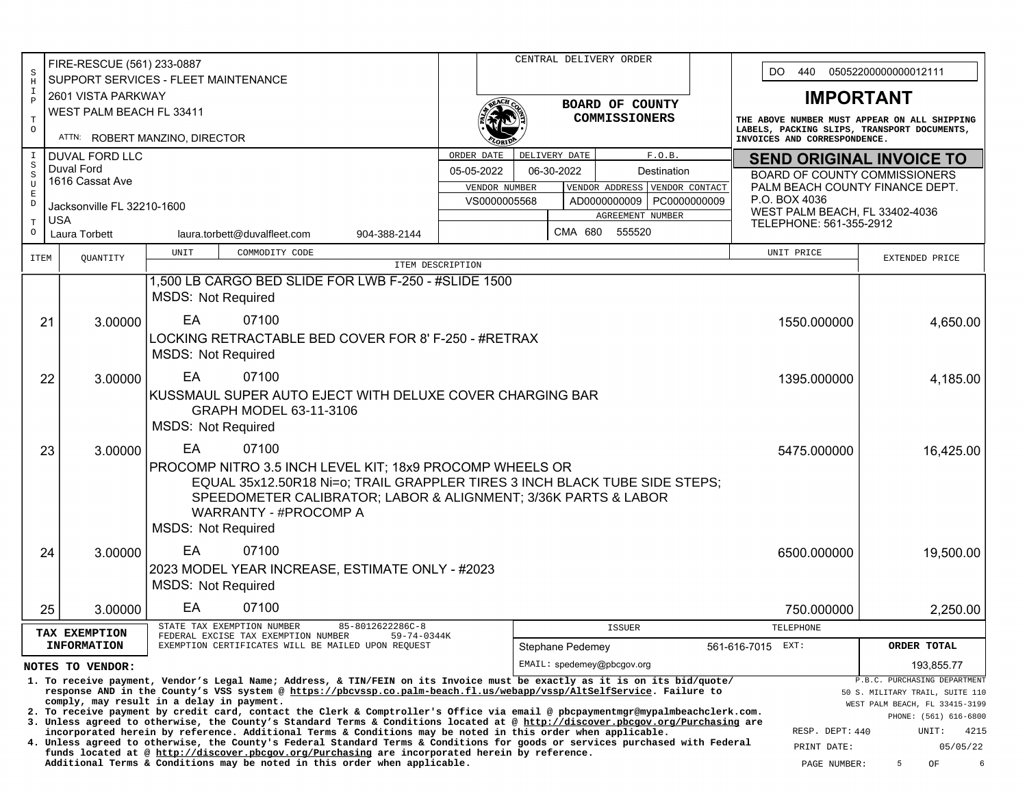|                            | FIRE-RESCUE (561) 233-0887                                                                                                                                                                                                                                                        |                                                                                                                                                                                                                                                                  | CENTRAL DELIVERY ORDER                  |                                                                                                                              |                            |  |                  |        |                                                                                             | 440                             |                                                           |                                                                   |  |
|----------------------------|-----------------------------------------------------------------------------------------------------------------------------------------------------------------------------------------------------------------------------------------------------------------------------------|------------------------------------------------------------------------------------------------------------------------------------------------------------------------------------------------------------------------------------------------------------------|-----------------------------------------|------------------------------------------------------------------------------------------------------------------------------|----------------------------|--|------------------|--------|---------------------------------------------------------------------------------------------|---------------------------------|-----------------------------------------------------------|-------------------------------------------------------------------|--|
| $\rm S$<br>$\rm H$         |                                                                                                                                                                                                                                                                                   | SUPPORT SERVICES - FLEET MAINTENANCE                                                                                                                                                                                                                             |                                         |                                                                                                                              |                            |  |                  |        |                                                                                             | DO.                             | 05052200000000012111                                      |                                                                   |  |
| $\mathbbm{1}$              | 2601 VISTA PARKWAY                                                                                                                                                                                                                                                                |                                                                                                                                                                                                                                                                  |                                         |                                                                                                                              |                            |  |                  |        |                                                                                             | <b>IMPORTANT</b>                |                                                           |                                                                   |  |
| $\, {\bf p}$               | WEST PALM BEACH FL 33411                                                                                                                                                                                                                                                          |                                                                                                                                                                                                                                                                  |                                         |                                                                                                                              | BOARD OF COUNTY            |  |                  |        |                                                                                             |                                 |                                                           |                                                                   |  |
| $\mathbf T$                |                                                                                                                                                                                                                                                                                   |                                                                                                                                                                                                                                                                  | COMMISSIONERS                           |                                                                                                                              |                            |  |                  |        | THE ABOVE NUMBER MUST APPEAR ON ALL SHIPPING<br>LABELS, PACKING SLIPS, TRANSPORT DOCUMENTS, |                                 |                                                           |                                                                   |  |
| $\circ$                    |                                                                                                                                                                                                                                                                                   | ATTN: ROBERT MANZINO, DIRECTOR                                                                                                                                                                                                                                   |                                         |                                                                                                                              |                            |  |                  |        |                                                                                             | INVOICES AND CORRESPONDENCE.    |                                                           |                                                                   |  |
| I                          | <b>DUVAL FORD LLC</b>                                                                                                                                                                                                                                                             |                                                                                                                                                                                                                                                                  | ORDER DATE                              |                                                                                                                              | DELIVERY DATE              |  |                  | F.O.B. |                                                                                             | <b>SEND ORIGINAL INVOICE TO</b> |                                                           |                                                                   |  |
| $_{\rm S}^{\rm S}$         | Duval Ford                                                                                                                                                                                                                                                                        |                                                                                                                                                                                                                                                                  | 05-05-2022<br>06-30-2022<br>Destination |                                                                                                                              |                            |  |                  |        |                                                                                             |                                 |                                                           | BOARD OF COUNTY COMMISSIONERS                                     |  |
| $\mathtt{U}$               | 1616 Cassat Ave                                                                                                                                                                                                                                                                   |                                                                                                                                                                                                                                                                  |                                         | VENDOR ADDRESS VENDOR CONTACT<br>VENDOR NUMBER                                                                               |                            |  |                  |        |                                                                                             |                                 | PALM BEACH COUNTY FINANCE DEPT.                           |                                                                   |  |
| $\mathbf E$<br>$\mathbb D$ | Jacksonville FL 32210-1600                                                                                                                                                                                                                                                        |                                                                                                                                                                                                                                                                  |                                         | VS0000005568<br>PC0000000009<br>AD0000000009                                                                                 |                            |  |                  |        |                                                                                             |                                 | P.O. BOX 4036                                             |                                                                   |  |
| $\mathbf T$                | <b>USA</b>                                                                                                                                                                                                                                                                        |                                                                                                                                                                                                                                                                  |                                         |                                                                                                                              |                            |  | AGREEMENT NUMBER |        |                                                                                             |                                 | WEST PALM BEACH, FL 33402-4036<br>TELEPHONE: 561-355-2912 |                                                                   |  |
| $\circ$                    | Laura Torbett                                                                                                                                                                                                                                                                     | laura.torbett@duvalfleet.com<br>904-388-2144                                                                                                                                                                                                                     |                                         |                                                                                                                              |                            |  |                  |        |                                                                                             |                                 |                                                           |                                                                   |  |
| <b>ITEM</b>                |                                                                                                                                                                                                                                                                                   | UNIT<br>COMMODITY CODE                                                                                                                                                                                                                                           |                                         |                                                                                                                              |                            |  |                  |        |                                                                                             |                                 | UNIT PRICE                                                | EXTENDED PRICE                                                    |  |
|                            | QUANTITY<br>ITEM DESCRIPTION                                                                                                                                                                                                                                                      |                                                                                                                                                                                                                                                                  |                                         |                                                                                                                              |                            |  |                  |        |                                                                                             |                                 |                                                           |                                                                   |  |
|                            |                                                                                                                                                                                                                                                                                   | 1,500 LB CARGO BED SLIDE FOR LWB F-250 - #SLIDE 1500                                                                                                                                                                                                             |                                         |                                                                                                                              |                            |  |                  |        |                                                                                             |                                 |                                                           |                                                                   |  |
|                            |                                                                                                                                                                                                                                                                                   | <b>MSDS: Not Required</b>                                                                                                                                                                                                                                        |                                         |                                                                                                                              |                            |  |                  |        |                                                                                             |                                 |                                                           |                                                                   |  |
|                            | 21<br>3.00000                                                                                                                                                                                                                                                                     | EA<br>07100                                                                                                                                                                                                                                                      |                                         |                                                                                                                              |                            |  |                  |        |                                                                                             |                                 | 1550.000000                                               | 4,650.00                                                          |  |
|                            | LOCKING RETRACTABLE BED COVER FOR 8' F-250 - #RETRAX                                                                                                                                                                                                                              |                                                                                                                                                                                                                                                                  |                                         |                                                                                                                              |                            |  |                  |        |                                                                                             |                                 |                                                           |                                                                   |  |
|                            | <b>MSDS: Not Required</b>                                                                                                                                                                                                                                                         |                                                                                                                                                                                                                                                                  |                                         |                                                                                                                              |                            |  |                  |        |                                                                                             |                                 |                                                           |                                                                   |  |
|                            |                                                                                                                                                                                                                                                                                   |                                                                                                                                                                                                                                                                  | 4,185.00                                |                                                                                                                              |                            |  |                  |        |                                                                                             |                                 |                                                           |                                                                   |  |
|                            | 3.00000<br>22                                                                                                                                                                                                                                                                     | EA<br>07100<br>1395.000000                                                                                                                                                                                                                                       |                                         |                                                                                                                              |                            |  |                  |        |                                                                                             |                                 |                                                           |                                                                   |  |
|                            |                                                                                                                                                                                                                                                                                   | KUSSMAUL SUPER AUTO EJECT WITH DELUXE COVER CHARGING BAR                                                                                                                                                                                                         |                                         |                                                                                                                              |                            |  |                  |        |                                                                                             |                                 |                                                           |                                                                   |  |
|                            |                                                                                                                                                                                                                                                                                   | GRAPH MODEL 63-11-3106                                                                                                                                                                                                                                           |                                         |                                                                                                                              |                            |  |                  |        |                                                                                             |                                 |                                                           |                                                                   |  |
|                            |                                                                                                                                                                                                                                                                                   | <b>MSDS: Not Required</b>                                                                                                                                                                                                                                        |                                         |                                                                                                                              |                            |  |                  |        |                                                                                             |                                 |                                                           |                                                                   |  |
|                            | 23<br>3.00000                                                                                                                                                                                                                                                                     | EA<br>07100                                                                                                                                                                                                                                                      |                                         |                                                                                                                              |                            |  |                  |        |                                                                                             |                                 | 5475.000000                                               | 16,425.00                                                         |  |
|                            |                                                                                                                                                                                                                                                                                   | PROCOMP NITRO 3.5 INCH LEVEL KIT; 18x9 PROCOMP WHEELS OR                                                                                                                                                                                                         |                                         |                                                                                                                              |                            |  |                  |        |                                                                                             |                                 |                                                           |                                                                   |  |
|                            |                                                                                                                                                                                                                                                                                   | EQUAL 35x12.50R18 Ni=o; TRAIL GRAPPLER TIRES 3 INCH BLACK TUBE SIDE STEPS;                                                                                                                                                                                       |                                         |                                                                                                                              |                            |  |                  |        |                                                                                             |                                 |                                                           |                                                                   |  |
|                            |                                                                                                                                                                                                                                                                                   | SPEEDOMETER CALIBRATOR; LABOR & ALIGNMENT; 3/36K PARTS & LABOR                                                                                                                                                                                                   |                                         |                                                                                                                              |                            |  |                  |        |                                                                                             |                                 |                                                           |                                                                   |  |
|                            |                                                                                                                                                                                                                                                                                   | WARRANTY - #PROCOMP A                                                                                                                                                                                                                                            |                                         |                                                                                                                              |                            |  |                  |        |                                                                                             |                                 |                                                           |                                                                   |  |
|                            |                                                                                                                                                                                                                                                                                   | <b>MSDS: Not Required</b>                                                                                                                                                                                                                                        |                                         |                                                                                                                              |                            |  |                  |        |                                                                                             |                                 |                                                           |                                                                   |  |
|                            | 3.00000<br>24                                                                                                                                                                                                                                                                     | EA<br>07100                                                                                                                                                                                                                                                      |                                         |                                                                                                                              |                            |  |                  |        |                                                                                             |                                 | 6500.000000                                               | 19,500.00                                                         |  |
|                            |                                                                                                                                                                                                                                                                                   | 2023 MODEL YEAR INCREASE, ESTIMATE ONLY - #2023                                                                                                                                                                                                                  |                                         |                                                                                                                              |                            |  |                  |        |                                                                                             |                                 |                                                           |                                                                   |  |
|                            |                                                                                                                                                                                                                                                                                   | <b>MSDS: Not Required</b>                                                                                                                                                                                                                                        |                                         |                                                                                                                              |                            |  |                  |        |                                                                                             |                                 |                                                           |                                                                   |  |
|                            |                                                                                                                                                                                                                                                                                   | EA<br>07100                                                                                                                                                                                                                                                      |                                         |                                                                                                                              |                            |  |                  |        |                                                                                             |                                 |                                                           |                                                                   |  |
|                            | 25<br>3.00000                                                                                                                                                                                                                                                                     |                                                                                                                                                                                                                                                                  |                                         |                                                                                                                              |                            |  |                  |        |                                                                                             |                                 | 750.000000                                                | 2,250.00                                                          |  |
|                            | TAX EXEMPTION                                                                                                                                                                                                                                                                     | STATE TAX EXEMPTION NUMBER<br>85-8012622286C-8<br>FEDERAL EXCISE TAX EXEMPTION NUMBER<br>59-74-0344K                                                                                                                                                             |                                         |                                                                                                                              |                            |  | <b>ISSUER</b>    |        |                                                                                             |                                 | TELEPHONE                                                 |                                                                   |  |
|                            | <b>INFORMATION</b>                                                                                                                                                                                                                                                                | EXEMPTION CERTIFICATES WILL BE MAILED UPON REQUEST                                                                                                                                                                                                               |                                         |                                                                                                                              | Stephane Pedemey           |  |                  |        |                                                                                             | 561-616-7015 EXT:               |                                                           | ORDER TOTAL                                                       |  |
|                            | NOTES TO VENDOR:                                                                                                                                                                                                                                                                  |                                                                                                                                                                                                                                                                  |                                         |                                                                                                                              | EMAIL: spedemey@pbcgov.org |  |                  |        |                                                                                             |                                 |                                                           | 193,855.77                                                        |  |
|                            | P.B.C. PURCHASING DEPARTMENT<br>1. To receive payment, Vendor's Legal Name; Address, & TIN/FEIN on its Invoice must be exactly as it is on its bid/quote/<br>response AND in the County's VSS system @ https://pbcvssp.co.palm-beach.fl.us/webapp/vssp/AltSelfService. Failure to |                                                                                                                                                                                                                                                                  |                                         |                                                                                                                              |                            |  |                  |        |                                                                                             |                                 |                                                           |                                                                   |  |
|                            |                                                                                                                                                                                                                                                                                   | comply, may result in a delay in payment.                                                                                                                                                                                                                        |                                         |                                                                                                                              |                            |  |                  |        |                                                                                             |                                 |                                                           | 50 S. MILITARY TRAIL, SUITE 110<br>WEST PALM BEACH, FL 33415-3199 |  |
|                            |                                                                                                                                                                                                                                                                                   | 2. To receive payment by credit card, contact the Clerk & Comptroller's Office via email @ pbcpaymentmgr@mypalmbeachclerk.com.<br>3. Unless agreed to otherwise, the County's Standard Terms & Conditions located at @ http://discover.pbcgov.org/Purchasing are |                                         |                                                                                                                              |                            |  |                  |        |                                                                                             |                                 |                                                           | PHONE: (561) 616-6800                                             |  |
|                            |                                                                                                                                                                                                                                                                                   | incorporated herein by reference. Additional Terms & Conditions may be noted in this order when applicable.                                                                                                                                                      |                                         |                                                                                                                              |                            |  |                  |        |                                                                                             |                                 | RESP. DEPT: 440                                           | UNIT:<br>4215                                                     |  |
|                            |                                                                                                                                                                                                                                                                                   | funds located at @ http://discover.pbcgov.org/Purchasing are incorporated herein by reference.                                                                                                                                                                   |                                         | 4. Unless agreed to otherwise, the County's Federal Standard Terms & Conditions for goods or services purchased with Federal |                            |  |                  |        |                                                                                             |                                 | PRINT DATE:                                               | 05/05/22                                                          |  |
|                            | Additional Terms & Conditions may be noted in this order when applicable.<br>5 <sup>5</sup><br>OF<br>6<br>PAGE NUMBER:                                                                                                                                                            |                                                                                                                                                                                                                                                                  |                                         |                                                                                                                              |                            |  |                  |        |                                                                                             |                                 |                                                           |                                                                   |  |